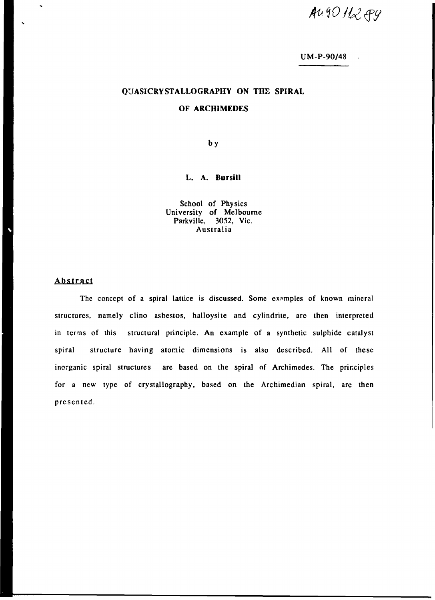*fawiuqy* 

# UM-P-90/48

# QUASICRYSTALLOGRAPHY ON THE SPIRAL

### OF ARCHIMEDES

by

### L. A. Bursili

School of Physics University of Melbourne Parkville, 3052, Vic. Australia

## Abstract

The concept of a spiral lattice is discussed. Some examples of known mineral structures, namely clino asbestos, halloysite and cylindrite, are then interpreted in terms of this structural principle. An example of a synthetic sulphide catalyst spiral structure having atomic dimensions is also described. All of these inorganic spiral structures are based on the spiral of Archimedes. The principles for a new type of crystallography, based on the Archimedian spiral, are then presented.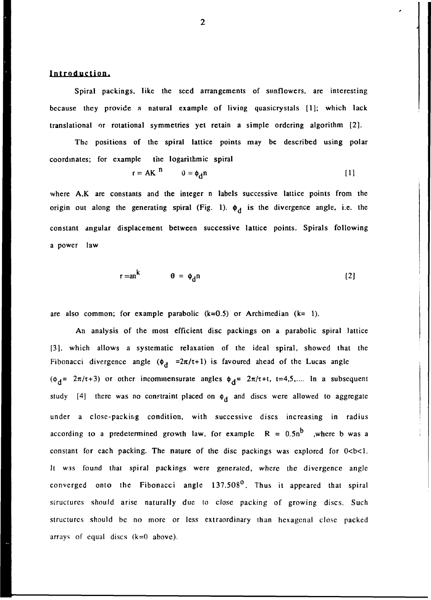### Introduction.

Spiral packings, like the seed arrangements of sunflowers, are interesting because they provide a natural example of living quasicrystals [1]; which lack translational or rotational symmetries yet retain a simple ordering algorithm [2].

The positions of the spiral lattice points may be described using polar coordinates; for example the logarithmic spiral

$$
r = AK^{n} \qquad 0 = \phi_{d}n
$$
 [1]

where A,K are constants and the integer n labels successive lattice points from the origin out along the generating spiral (Fig. 1).  $\phi_d$  is the divergence angle, i.e. the constant angular displacement between successive lattice points. Spirals following a power law

$$
r = a n^{K} \qquad \theta = \phi_{d} n \qquad (2)
$$

are also common; for example parabolic  $(k=0.5)$  or Archimedian  $(k=1)$ .

An analysis of the most efficient disc packings on a parabolic spiral lattice [3], which allows a systematic relaxation of the ideal spiral, showed that the Fibonacci divergence angle  $(\phi_d = 2\pi/\tau + 1)$  is favoured ahead of the Lucas angle ( $\phi_d$ =  $2\pi/\tau+3$ ) or other incommensurate angles  $\phi_d$ =  $2\pi/\tau+t$ , t=4,5,.... In a subsequent study [4] there was no constraint placed on  $\phi_d$  and discs were allowed to aggregate under a close-packing condition, with successive discs increasing in radius according to a predetermined growth law, for example  $R = 0.5n^b$  , where b was a constant for each packing. The nature of the disc packings was explored for  $0 < b < 1$ . It was found that spiral packings were generated, where the divergence angle converged onto the Fibonacci angle 137.508°. Thus it appeared that spiral structures should arise naturally due to close packing of growing discs. Such structures should be no more or less extraordinary than hexagonal close packed arrays of equal discs  $(k=0)$  above).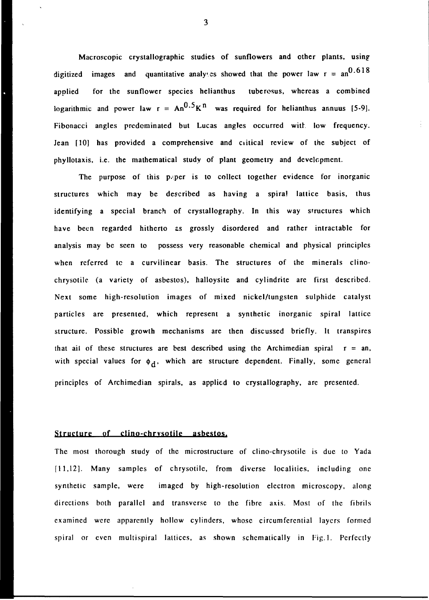Macroscopic crystallographic studies of sunflowers and other plants, using digitized images and quantitative analyses showed that the power law  $r = an^{0.618}$ applied for the sunflower species helianthus tubercsus, whereas a combined logarithmic and power law  $r = An^{0.5}K^{\text{II}}$  was required for helianthus annuus [5-9]. Fibonacci angles predominated but Lucas angles occurred with low frequency. Jean [10] has provided a comprehensive and ciitical review of the subject of phyllotaxis, i.e. the mathematical study of plant geometry and development.

The purpose of this p.per is to collect together evidence for inorganic structures which may be described as having a spiral lattice basis, thus identifying a special branch of crystallography. In this way structures which have been regarded hitherto as grossly disordered and rather intractable for analysis may be seen to possess very reasonable chemical and physical principles when referred te a curvilinear basis. The structures of the minerals clinochrysotilc (a variety of asbestos), halloysitc and cylindrite are first described. Next some high-resolution images of mixed nickel/tungsten sulphide catalyst particles are presented, which represent a synthetic inorganic spiral lattice structure. Possible growth mechanisms are then discussed briefly. It transpires that ail of these structures are best described using the Archimedian spiral  $r = an$ , with special values for  $\phi_d$ , which are structure dependent. Finally, some general principles of Archimedian spirals, as applied to crystallography, are presented.

## Structure of clino-chrysotile asbestos.

The most thorough study of the microstructure of clino-chrysotile is due to Yada [11,12]. Many samples of chrysotile, from diverse localities, including one synthetic sample, were imaged by high-resolution electron microscopy, along directions both parallel and transverse to the fibre axis. Most of the fibrils examined were apparently hollow cylinders, whose circumferential layers formed spiral or even multispiral lattices, as shown schematically in Fig.1. Perfectly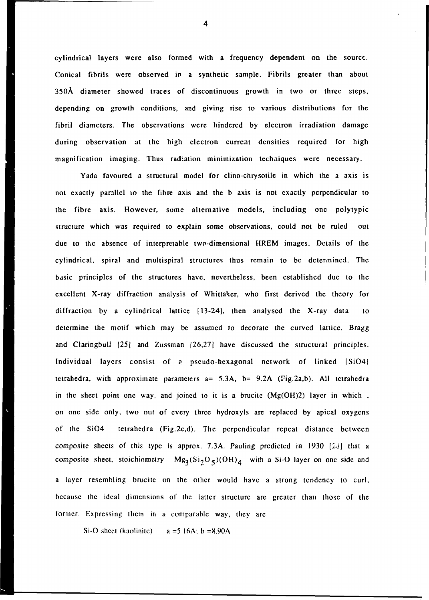cylindrical layers were also formed with a frequency dependent on the source. Conical fibrils were observed in a synthetic sample. Fibrils greater than about 350A diameter showed traces of discontinuous growth in two or three steps, depending on growth conditions, and giving rise to various distributions for the fibril diameters. The observations were hindered by electron irradiation damage during observation at the high electron current densities required for high magnification imaging. Thus radiation minimization techniques were necessary.

Yada favoured a structural model for clino-chrysotile in which the a axis is not exactly parallel to the fibre axis and the b axis is not exactly perpendicular to the fibre axis. However, some alternative models, including one polytypic structure which was required to explain some observations, could not be ruled out due to the absence of interpretable two-dimensional HREM images. Details of the cylindrical, spiral and multispiral structures thus remain to be determined. The basic principles of the structures have, nevertheless, been established due to the excellent X-ray diffraction analysis of Whittaker, who first derived the theory for diffraction by a cylindrical lattice [13-24], then analysed the X-ray data to determine the motif which may be assumed to decorate the curved lattice. Bragg and Claringbull [25] and Zussman [26,27] have discussed the structural principles. Individual layers consist of a pseudo-hexagonal network of linked [Si04] tetrahedra, with approximate parameters  $a= 5.3A$ ,  $b= 9.2A$  (Fig.2a,b). All tetrahedra in the sheet point one way, and joined to it is a brucite (Mg(OH)2) layer in which , on one side only, two out of every three hydroxyls are replaced by apical oxygens of the Si04 tetrahedra (Fig.2c,d). The perpendicular repeat distance between composite sheets of this type is approx. 7.3A. Pauling predicted in 1930 *[26\* that a composite sheet, stoichiometry  $Mg_3(Si_2O_5)(OH)_4$  with a Si-O layer on one side and a layer resembling brucitc on the other would have a strong tendency to curl, because the ideal dimensions of the latter structure are greater than those of the former. Expressing them in a comparable way, they arc

Si-O sheet (kaolinite)  $a = 5.16A$ ; b = 8.90A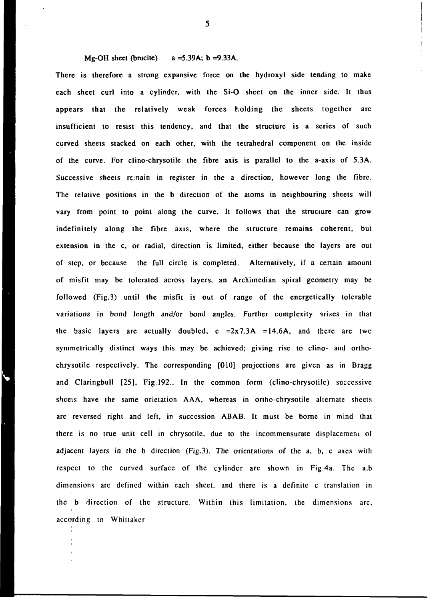Mg-OH sheet (brucite)  $a = 5.39A$ ; b = 9.33A.

There is therefore a strong expansive force on the hydroxyl side tending to make each sheet curl into a cylinder, with the Si-0 sheet on the inner side. It thus appears that the relatively weak forces holding the sheets together are insufficient to resist this tendency, and that the structure is a series of such curved sheets stacked on each other, with the tetrahedral component on the inside of the curve. For clino-chrysotile the fibre axis is parallel to the a-axis of 5.3A. Successive sheets re;nain in register in the a direction, however long the fibre. The relative positions in the b direction of the atoms in neighbouring sheets will vary from point to point along the curve. It follows that the structure can grow indefinitely along the fibre axis, where the structure remains coherent, but extension in the c, or radial, direction is limited, either because the layers are out of step, or because the full circle is completed. Alternatively, if a certain amount of misfit may be tolerated across layers, an Archimedian spiral geometry may be followed (Fig.3) until the misfit is out of range of the energetically tolerable variations in bond length and/or bond angles. Further complexity arises in that the basic layers are actually doubled,  $c = 2x7.3A = 14.6A$ , and there are two symmetrically distinct ways this may be achieved; giving rise to clino- and orthochrysotile respectively. The corresponding [010] projections are given as in Bragg and Claringbull [25], Fig.192.. In the common form (clino-chrysotile) successive shceis have the same orictation AAA, whereas in onho-chrysotile alternate sheets are reversed right and left, in succession ABAB. It must be borne in mind that there is no true unit cell in chrysotile, due to the incommensurate displacement of adjacent layers in the b direction (Fig.3). The orientations of the a, b, c axes with respect to the curved surface of the cylinder arc shown in Fig.4a. The a,b dimensions are defined within each sheet, and there is a definite c translation in the b direction of the structure. Within this limitation, the dimensions arc, according to Whittakcr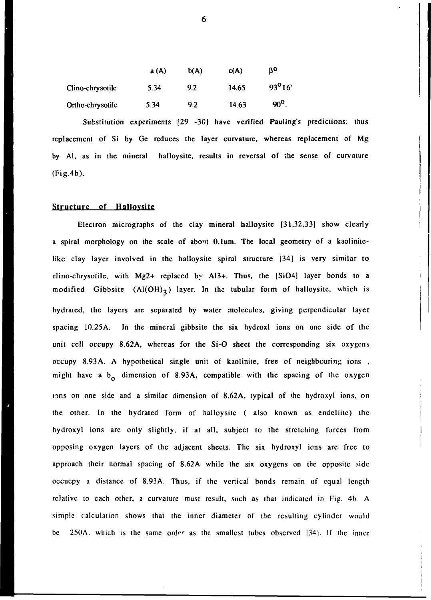|                  | a(A) | b(A) | c(A)  | ŖΟ           |
|------------------|------|------|-------|--------------|
| Clino-chrysotile | 5.34 | 9.2  | 14.65 | $93^{0}16'$  |
| Ortho-chrysotile | 5.34 | 9.2  | 14.63 | $90^{\rm o}$ |

Substitution experiments [29 -30] have verified Pauling's predictions: thus replacement of Si by Ge reduces the layer curvature, whereas replacement of Mg by Al, as in the mineral halloysite, results in reversal of the sense of curvature (Fig.4b).

#### Structure of Halloysite

Electron micrographs of the clay mineral halloysite [31,32,33] show clearly a spiral morphology on the scale of about 0.1um. The local geometry of a kaolinitelike clay layer involved in the halloysite spiral structure [34] is very similar to clino-chrysotile, with Mg2+ replaced *by* A13+. Thus, the [Si04] layer bonds to a modified Gibbsite  $(A(OH)_3)$  layer. In the tubular form of halloysite, which is hydraied, the layers are separated by water molecules, giving perpendicular layer spacing 10.25A. In the mineral gibbsite the six hydroxl ions on one side of the unit cell occupy 8.62A, whereas for the Si-0 sheet the corresponding six oxygens occupy 8.93A. A hypothetical single unit of kaolinite, free of neighbouring ions , might have a  $b<sub>o</sub>$  dimension of 8.93A, compatible with the spacing of the oxygen ions on one side and a similar dimension of 8.62A, typical of the hydroxyl ions, on the other. In the hydratcd form of halloysite ( also known as endcllitc) the hydroxyl ions are only slightly, if at all, subject to the stretching forces from opposing oxygen layers of the adjacent sheets. The six hydroxyl ions arc free to approach their normal spacing of 8.62A while the six oxygens on the opposite side occucpy a distance of 8.93A. Thus, if the vertical bonds remain of equal length relative to each other, a curvature must result, such as that indicated in Fig. 4b. A simple calculation shows that the inner diameter of the resulting cylinder would be 250A, which is the same *order* as the smallest tubes observed 134). If the inner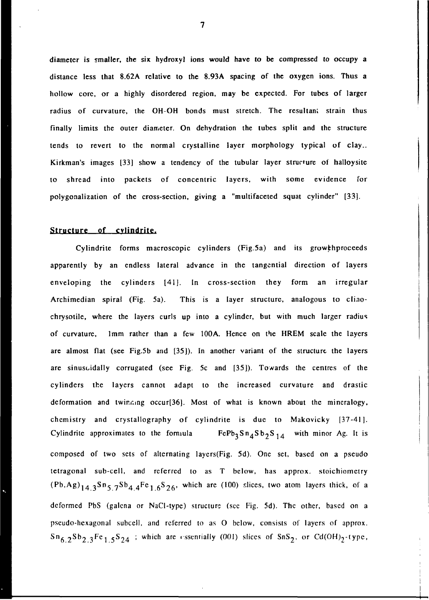diameter is smaller, the six hydroxyl ions would have to be compressed to occupy a distance less that 8.62A relative to the 8.93A spacing of the oxygen ions. Thus a hollow core, or a highly disordered region, may be expected. For tubes of larger radius of curvature, the OH-OH bonds must stretch. The resultant strain thus finally limits the outer diameter. On dehydration the tubes split and the structure tends to revert to the normal crystalline layer morphology typical of clay.. Kirkman's images [33] show a tendency of the tubular layer structure of halloysite to shread into packets of concentric layers, with some evidence for polygonalization of the cross-section, giving a "multifaceted squat cylinder" [33].

#### **Structure of cvlindrite.**

Cylindrite forms macroscopic cylinders (Fig.5a) and its growthproceeds apparently by an endless lateral advance in the tangential direction of layers enveloping the cylinders [41]. In cross-section they form an irregular Archimedian spiral (Fig. 5a). This is a layer structure, analogous to clinochrysotile, where the layers curls up into a cylinder, but with much larger radius of curvature, 1mm rather than a few 100A. Hence on the HREM scale the layers are almost flat (see Fig.5b and [35]). In another variant of the structure the layers are sinusoidally corrugated (see Fig. 5c and [35]). Towards the centres of the cylinders the layers cannot adapt to the increased curvature and drastic deformation and twinning occur<sup>[36]</sup>. Most of what is known about the mineralogy, chemistry and crystallography of cylindrite is due to Makovicky [37-41]. Cylindrite approximates to the formula  $FcPb_3Sn_4Sb_2S_{14}$  with minor Ag. It is composed of two sets of alternating laycrs(Fig. 5d). One set, based on a pseudo tetragonal sub-cell, and referred to as T below, has approx. stoichiomctry  $(Pb, Ag)$ <sub>14.3</sub>Sn<sub>5.7</sub>Sb<sub>4.4</sub>Fc<sub>1.6</sub>S<sub>26</sub>, which are (100) slices, two atom layers thick, of a deformed PbS (galena or NaCl-typc) structure (sec Fig. 5d). The other, based on a pscudo-hcxagona! subccll, and referred to as O below, consists of layers of approx.  $\text{Sn}_{6,2} \text{Sb}_{2,3}$  Fe<sub>1,5</sub>S<sub>24</sub> ; which are essentially (001) slices of SnS<sub>2</sub>, or Cd(OH)<sub>2</sub>-type,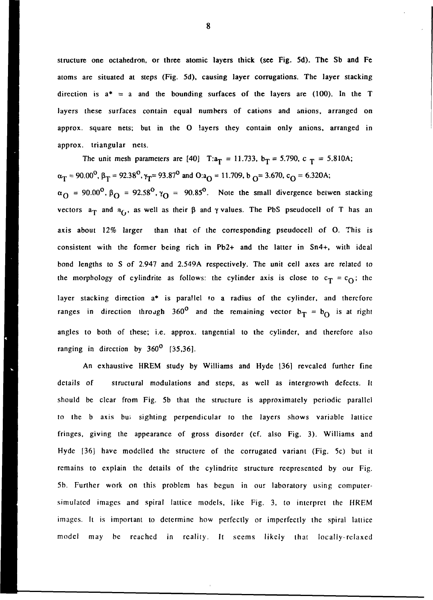structure one octahedron, or three atomic layers thick (see Fig. 5d). The Sb and Fe atoms are situated at steps (Fig. 5d), causing layer corrugations. The layer stacking direction is  $a^* = a$  and the bounding surfaces of the layers are (100). In the T layers these surfaces contain equal numbers of cations and anions, arranged on approx. square nets; but in the O layers they contain only anions, arranged in approx. triangular nets.

The unit mesh parameters are [40] T: $a_T = 11.733$ ,  $b_T = 5.790$ , c  $T = 5.810$ A;  $\alpha_T$  = 90.00<sup>0</sup>,  $\beta_T$  = 92.38<sup>0</sup>,  $\gamma_T$  = 93.87<sup>0</sup> and O:a<sub>O</sub> = 11.709, b<sub>O</sub> = 3.670, c<sub>O</sub> = 6.320A;  $\alpha_{\Omega}$  = 90.00°,  $\beta_{\Omega}$  = 92.58°,  $\gamma_{\Omega}$  = 90.85°. Note the small divergence betwen stacking vectors  $a_T$  and  $a_{f_1}$ , as well as their  $\beta$  and  $\gamma$  values. The PbS pseudocell of T has an axis about 12% larger than that of the corresponding pseudocell of O. This is consistent with the former being rich in Pb2+ and the latter in Sn4+, with ideal bond lengths to S of 2.947 and 2.549A respectively. The unit cell axes are related to the morphology of cylindrite as follows: the cylinder axis is close to  $c_T = c_O$ ; the layer stacking direction  $a^*$  is parallel to a radius of the cylinder, and therefore ranges in direction through 360<sup>°</sup> and the remaining vector  $b_T = b_O$  is at right angles to both of these; i.e. approx. tangential to the cylinder, and therefore also ranging in direction by  $360^{\circ}$  [35,36].

An exhaustive HREM study by Williams and Hyde [36] revealed further fine details of structural modulations and steps, as well as intergrowth defects. It should be clear from Fig. 5b that the structure is approximately periodic parallel to the b axis bui sighting perpendicular to the layers shows variable lattice fringes, giving the appearance of gross disorder (cf. also Fig. 3). Williams and Hyde [36] have modelled the structure of the corrugated variant (Fig. 5c) but it remains to explain the details of the cylindritc structure reepresented by our Fig. 5b. Further work on this problem has begun in our laboratory using computersimulated images and spiral lattice models, like Fig. 3, to interpret the HREM images. It is important to determine how perfectly or imperfectly the spiral lattice model may be reached in reality. It seems likely that locally-relaxed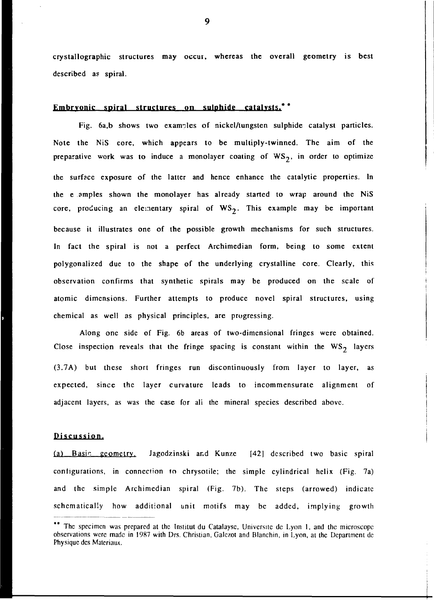crystallographic structures may occur, whereas the overall geometry is best described as spiral.

### Embryonic spiral structures on sulphide catalysts.<sup>\*\*</sup>

Fig. 6a,b shows two examples of nickel/tungsten sulphide catalyst particles. Note the NiS core, which appears to be multiply-twinned. The aim of the preparative work was to induce a monolayer coating of  $WS_2$ , in order to optimize the surface exposure of the latter and hence enhance the catalytic properties. In the e amples shown the monolayer has already started to wrap around the NiS core, producing an elementary spiral of  $WS<sub>2</sub>$ . This example may be important because it illustrates one of the possible growth mechanisms for such structures. In fact the spiral is not a perfect Archimedian form, being to some extent polygonalized due to the shape of the underlying crystalline core. Clearly, this observation confirms that synthetic spirals may be produced on the scale of atomic dimensions. Further attempts to produce novel spiral structures, using chemical as well as physical principles, are progressing.

Along one side of Fig. 6b areas of two-dimensional fringes were obtained. Close inspection reveals that the fringe spacing is constant within the  $WS_2$  layers (3.7A) but these short fringes run discontinuously from layer to layer, as expected, since the layer curvature leads to incommensurate alignment of adjacent layers, as was the case for ali the mineral species described above.

#### Discussion.

(a) Basic geometry. Jagodzinski and Kunze  $[42]$  described two basic spiral configurations, in connection to chrysotile; the simple cylindrical helix (Fig. 7a) and the simple Archimedian spiral (Fig. 7b). The steps (arrowed) indicate schematically how additional unit motifs may be added, implying growth

<sup>\*\*</sup> The specimen was prepared at the Institut du Catalayse, Universite de Lyon 1, and the microscope observations were made in 1987 with Drs. Christian, Galczot and Blanchin, in Lyon, at the Department dc Physique des Matcriaux.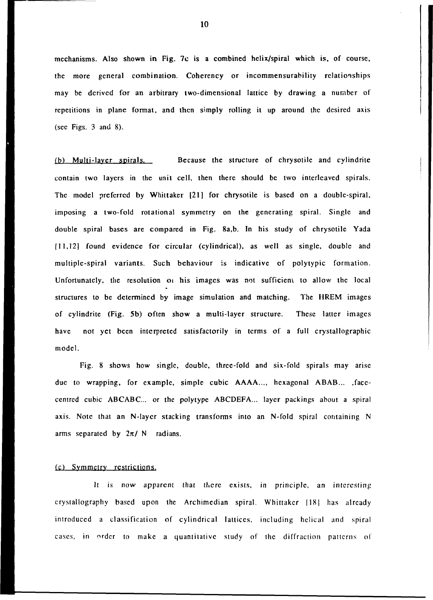mechanisms. Also shown in Fig. 7c is a combined helix/spiral which is, of course, the more general combination. Coherency or incommensurability relationships may be derived for an arbitrary two-dimensional lattice by drawing a number of repetitions in plane format, and then simply rolling it up around the desired axis (sec Figs. 3 and 8).

(b) Multi-laver spirals. Because the structure of chrysotile and cylindrite contain two layers in the unit cell, then there should be two interleaved spirals. The model preferred by Whittaker [21] for chrysotile is based on a double-spiral, imposing a two-fold rotational symmetry on the generating spiral. Single and double spiral bases are compared in Fig. 8a,b. In his study of chrysotile Yada [11,12] found evidence for circular (cylindrical), as well as single, double and multiple-spiral variants. Such behaviour is indicative of polytypic formation. Unfortunately, the resolution oi his images was not sufficient to allow the local structures to be determined by image simulation and matching. The HREM images of cylindrite (Fig. 5b) often show a multi-layer structure. These latter images have not yet been interpreted satisfactorily in terms of a full crystallographic model.

Fig. 8 shows how single, double, three-fold and six-fold spirals may arise due to wrapping, for example, simple cubic AAAA..., hexagonal ABAB... , facecentred cubic ABCABC... or the polytype ABCDEFA... layer packings about a spiral axis. Note that an N-laycr stacking transforms into an N-fold spiral containing N arms separated by  $2\pi$ / N radians.

#### (c) Symmetry restrictions.

It is now apparent that there exists, in principle, an interesting crystallography based upon the Archimedian spiral. Whittakcr [18] has already introduced a classification of cylindrical lattices, including helical and spiral cases, in order to make a quantitative study of the diffraction patterns of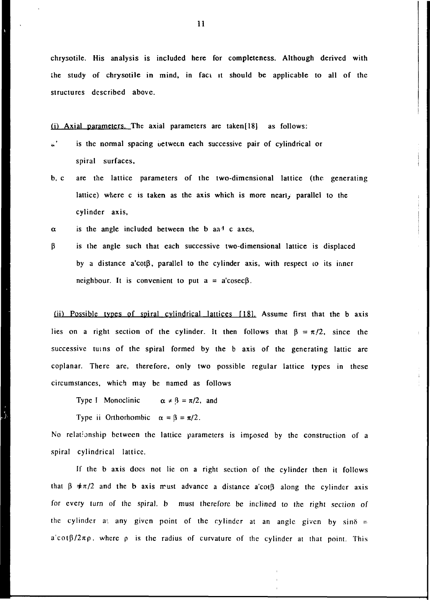chrysotile. His analysis is included here for completeness. Although derived with the study of chrysotile in mind, in faci it should be applicable to all of the structures described above.

 $(i)$  Axial parameters. The axial parameters are taken $[18]$  as follows:

- «.' is the normal spacing uetwetn each successive pair of cylindrical or spiral surfaces,
- b, c are the lattice parameters of the two-dimensional lattice (the generating lattice) where c is taken as the axis which is more nearly parallel to the cylinder axis,
- $\alpha$  is the angle included between the b and c axes,
- $\beta$  is the angle such that each successive two-dimensional lattice is displaced by a distance a'cot $\beta$ , parallel to the cylinder axis, with respect to its inner neighbour. It is convenient to put  $a = a' \csc \beta$ .

 $(i)$  Possible types of spiral cylindrical lattices  $[18]$ . Assume first that the b axis lies on a right section of the cylinder. It then follows that  $\beta = \pi/2$ , since the successive turns of the spiral formed by the b axis of the generating lattic are coplanar. There are, therefore, only two possible regular lattice types in these circumstances, which may be named as follows

Type I Monoclinic  $\alpha \neq \beta = \pi/2$ , and

Type ii Orthorhombic  $\alpha = \beta = \pi/2$ .

No relationship between the lattice parameters is imposed by the construction of a spiral cylindrical lattice.

If the b axis docs not lie on a right section of the cylinder then it follows that  $\beta \neq \pi/2$  and the b axis must advance a distance a'cot $\beta$  along the cylinder axis for every turn of the spiral, b must therefore be inclined to the right section of the cylinder at any given point of the cylinder at an angle given by  $sin\delta =$  $a' \cot \frac{\beta}{2\pi \rho}$ , where  $\rho$  is the radius of curvature of the cylinder at that point. This

**1** 

 $\frac{1}{2}$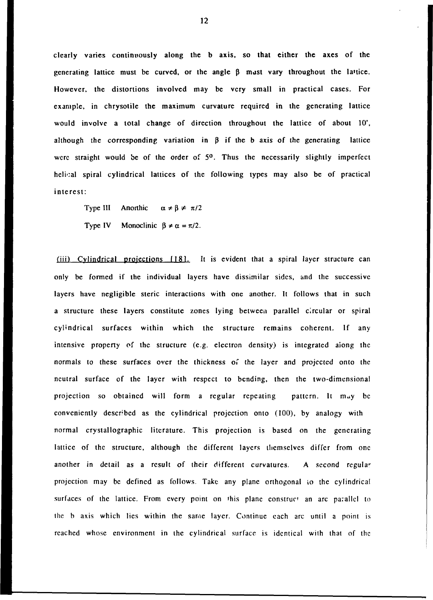clearly varies continuously along the b axis, so that either the axes of the generating lattice must be curved, or the angle  $\beta$  must vary throughout the lattice. However, the distortions involved may be very small in practical cases. For example, in chrysotile the maximum curvature required in the generating lattice would involve a total change of direction throughout the lattice of about 10', although the corresponding variation in  $\beta$  if the b axis of the generating lattice were straight would be of the order of 5°. Thus the necessarily slightly imperfect helical spiral cylindrical lattices of the following types may also be of practical interest:

Type III Anorthic  $\alpha \neq \beta \neq \pi/2$ Type IV Monoclinic  $\beta \neq \alpha = \pi/2$ .

(iii) Cylindrical projections 1181. It is evident that a spiral layer structure can only be formed if the individual layers have dissimilar sides, and the successive layers have negligible steric interactions with one another. It follows that in such a structure these layers constitute zones lying between parallel circular or spiral cylindrical surfaces within which the structure remains coherent. If any intensive property of the structure (e.g. electron density) is integrated along the normals to these surfaces over the thickness of the layer and projected onto the neutral surface of the layer with respect to bending, then the two-dimensional projection so obtained will form a regular repeating pattern. It may be conveniently described as the cylindrical projection onto (100), by analogy with normal crystallographic literature. This projection is based on the generating lattice of the structure, although the different layers themselves differ from one another in detail as a result of their different curvatures. A second regular projection may be defined as follows. Take any plane orthogonal io the cylindrical surfaces of the lattice. From every point on this plane construe' an arc parallel to the b axis which lies wilhin the same layer. Continue each arc until a point is reached whose environment in the cylindrical surface is identical with that of the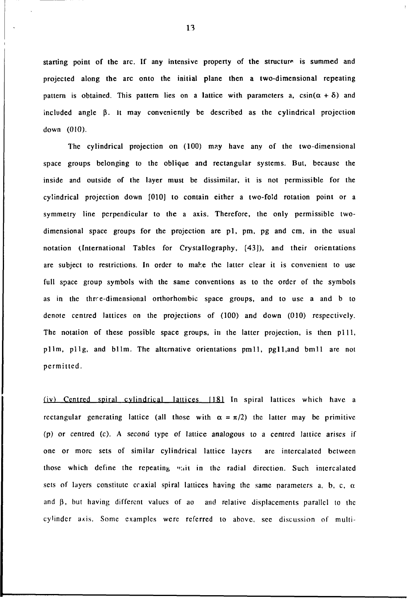starting point of the arc. If any intensive property of the structure is summed and projected along the arc onto the initial plane then a two-dimensional repeating pattern is obtained. This pattern lies on a lattice with parameters a,  $csin(\alpha + \delta)$  and included angle  $\beta$ . It may conveniently be described as the cylindrical projection down (010).

The cylindrical projection on (100) may have any of the two-dimensional space groups belonging to the oblique and rectangular systems. But, because the inside and outside of the layer must be dissimilar, it is not permissible for the cylindrical projection down [010] to contain either a two-fold rotation point or a symmetry line perpendicular to the a axis. Therefore, the only permissible twodimensional space groups for the projection are pi, pm, pg and cm, in the usual notation (International Tables for Crystallography, [43]), and their orientations are subject to restrictions. In order to make the latter clear it is convenient to use full space group symbols with the same conventions as to the order of the symbols as in the thrre-dimensional orthorhombic space groups, and to use a and b to denote centred lattices on the projections of (100) and down (010) respectively. The notation of these possible space groups, in the latter projection, is then pill, pllm, pllg, and bllm. The alternative orientations pmll, pgll.and bmll are not permitted.

(iv) Centred spiral cylindrical lattices [181 In spiral lattices which have a rectangular generating lattice (all those with  $\alpha = \pi/2$ ) the latter may be primitive (p) or centred (c). A second type of lattice analogous to a centred lattice arises if one or more sets of similar cylindrical lattice layers are intercalated between those which define the repeating whit in the radial direction. Such intercalated sets of layers constitute coaxial spiral lattices having the same parameters a, b, c,  $\alpha$ and  $\beta$ , but having different values of ao and relative displacements parallel to the cylinder axis. Some examples were referred to above, sec discussion of multi-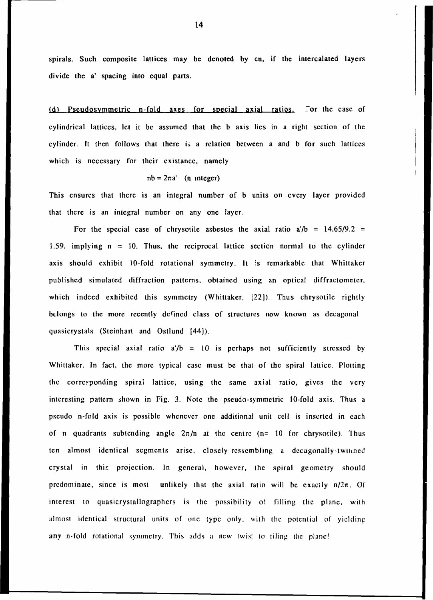spirals. Such composite lattices may be denoted by en, if the intercalated layers divide the a' spacing into equal parts.

(d) Pseudosymmetric n-fold axes for special axial ratios. For the case of cylindrical lattices, let it be assumed that the b axis lies in a right section of the cylinder. It then follows that there is a relation between a and b for such lattices which is necessary for their existance, namely

$$
nb = 2\pi a'
$$
 (n integer)

This ensures that there is an integral number of b units on every layer provided that there is an integral number on any one layer.

For the special case of chrysotile asbestos the axial ratio  $a/b = 14.65/9.2$ 1.59, implying  $n = 10$ . Thus, the reciprocal lattice section normal to the cylinder axis should exhibit 10-fold rotational symmetry. It is remarkable that Whittakcr published simulated diffraction patterns, obtained using an optical diffractometer, which indeed exhibited this symmetry (Whittaker, [22]). Thus chrysotile rightly belongs to the more recently defined class of structures now known as decagonal quasicrystals (Steinhart and Ostlund [44]).

This special axial ratio  $a/b = 10$  is perhaps not sufficiently stressed by Whittaker. In fact, the more typical case must be that of the spiral lattice. Plotting the corresponding spiral lattice, using the same axial ratio, gives the very interesting pattern shown in Fig. 3. Note the pseudo-symmetric 10-fold axis. Thus a pseudo n-fold axis is possible whenever one additional unit cell is inserted in each of n quadrants subtending angle  $2\pi/n$  at the centre (n= 10 for chrysotile). Thus ten almost identical segments arise, closely-ressembling a decagonally-twinned crystal in this projection. In general, however, the spiral geometry should predominate, since is most unlikely that the axial ratio will be exactly  $n/2\pi$ . Of interest to quasicrystallographcrs is the possibility of filling the plane, with almost identical structural units of one type only, with the potential of yielding any n-fold rotational symmetry. This adds a new twist to tiling the plane!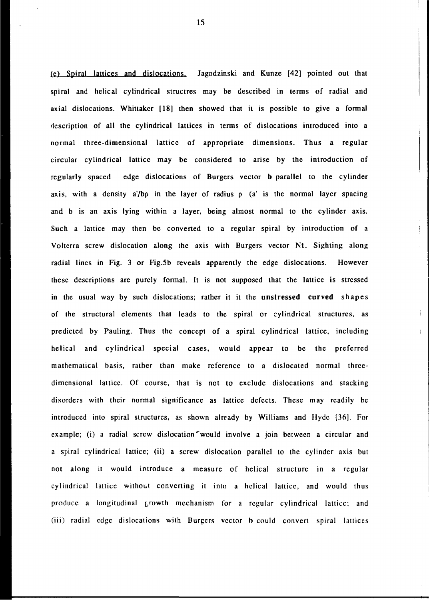fe> Spiral lattices and dislocations. Jagodzinski and Kunze [42] pointed out that spiral and helical cylindrical structres may be described in terms of radial and axial dislocations. Whittaker [18] then showed that it is possible to give a formal description of all the cylindrical lattices in terms of dislocations introduced into a normal three-dimensional lattice of appropriate dimensions. Thus a regular circular cylindrical lattice may be considered to arise by the introduction of regularly spaced edge dislocations of Burgers vector b parallel to the cylinder axis, with a density a'/b $\rho$  in the layer of radius  $\rho$  (a' is the normal layer spacing and b is an axis lying within a layer, being almost normal to the cylinder axis. Such a lattice may then be converted to a regular spiral by introduction of a Voltcrra screw dislocation along the axis with Burgers vector Nt. Sighting along radial lines in Fig. 3 or Fig.5b reveals apparently the edge dislocations. However these descriptions are purely formal. It is not supposed that the lattice is stressed in the usual way by such dislocations; rather **it** it the **unstressed curved** shapes of the structural elements that leads to the spiral or cylindrical structures, as predicted by Pauling. Thus the concept of a spiral cylindrical lattice, including helical and cylindrical special cases, would appear to be the preferred mathematical basis, rather than make reference to a dislocated normal threedimensional lattice. Of course, that is not to exclude dislocations and stacking disorders with their normal significance as lattice defects. These may readily be introduced into spiral structures, as shown already by Williams and Hyde [36]. For example; (i) a radial screw dislocation'would involve a join between a circular and a spiral cylindrical lattice; (ii) a screw dislocation parallel to the cylinder axis but not along it would introduce a measure of helical structure in a regular cylindrical lattice without converting it into a helical lattice, and would thus produce a longitudinal growth mechanism for a regular cylindrical lattice; and (iii) radial edge dislocations with Burgers vector b could convert spiral lattices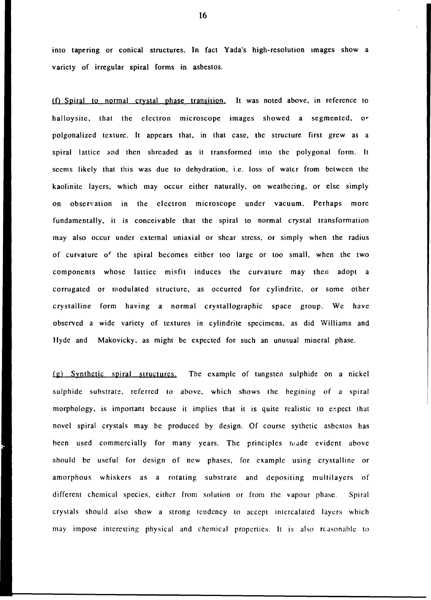into tapering or conical structures. In fact Yada's high-resolution images show a variety of irregular spiral forms in asbestos.

(f) Spiral to normal crystal phase transition. It was noted above, in reference to halloysite, that the electron microscope images showed a segmented, or polgonalized texture. It appears that, in that case, the structure first grew as a spiral lattice and then shreaded as it transformed into the polygonal form. It seems likely that this was due to dehydration, i.e. loss of water from between the kaolinite layers, which may occur either naturally, on weathering, or else simply on observation in the electron microscope under vacuum. Perhaps more fundamentally, it is conceivable that the spiral to normal crystal transformation may also occur under external uniaxial or shear stress, or simply when the radius of curvature of the spiral becomes either too large or too small, when the two components whose lattice misfit induces the curvature may then adopt a corrugated or modulated structure, as occurred for cylindrite, or some other crystalline form having a normal crystallographic space group. We have observed a wide variety of textures in cylindrite specimens, as did Williams and Hyde and Makovicky, as might be expected for such an unusual mineral phase.

(g) Synthetic spiral structures. The example of tungsten sulphide on a nickel sulphide substrate, referred to above, which shows the begining of a spiral morphology, is important because it implies that it is quite realistic to expect that novel spiral crystals may be produced by design. Of course sythctic asbestos has been used commercially for many years. The principles made evident above should be useful for design of new phases, for example using crystalline or amorphous whiskers as a rotating substrate and depositing multilayers of different chemical species, cither from solution or from the vapour phase. Spiral crystals should also show a strong tendency to accept intercalated layers which may impose interesting physical and chemical properties. It is also reasonable to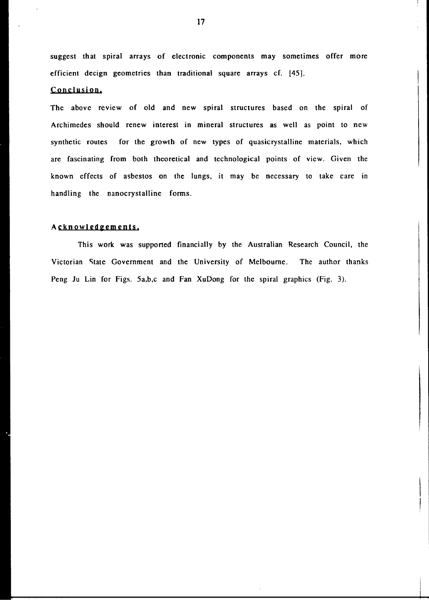suggest that spiral arrays of electronic components may sometimes offer more efficient decign geometries than traditional square arrays cf. [45].

# Conclusion.

The above review of old and new spiral structures based on the spiral of Archimedes should renew interest in mineral structures as well as point to new synthetic routes for the growth of new types of quasicrystalline materials, which are fascinating from both theoretical and technological points of view. Given the known effects of asbestos on the lungs, it may be necessary to take care in handling the nanocrystalline forms.

## Acknowledgements.

This work was supported financially by the Australian Research Council, the Victorian State Government and the University of Melbourne. The author thanks Peng Ju Lin for Figs. 5a,b,c and Fan XuDong for the spiral graphics (Fig. 3).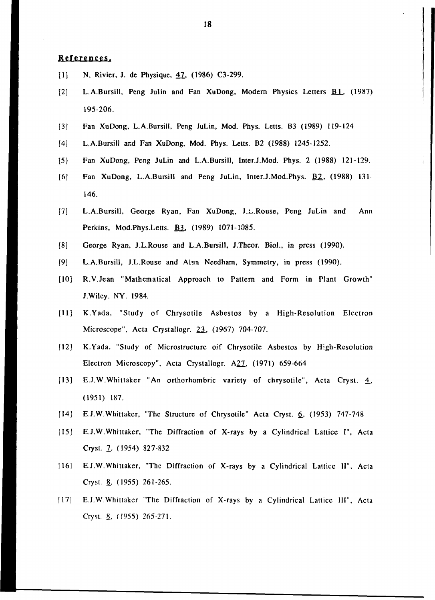# **References.**

- [1] N. Rivier, J. de Physique, 47, (1986) C3-299.
- [2] L.A.Bursill, Peng Julin and Fan XuDong, Modern Physics Letters **B1**. (1987) 195-206.
- [3] Fan XuDong, L.A.Bursill, Peng JuLin, Mod. Phys. Letts. B3 (1989) 119-124
- [4] L.A.Bursill and Fan XuDong, Mod. Phys. Letts. B2 (1988) 1245-1252.
- [5} Fan XuDong, Peng JuLin and L.A.Bursill, Inter.J.Mod. Phys. 2 (1988) 121-129.
- [6] Fan XuDong, L.A.Bursill and Peng JuLin, Inter.J.Mod.Phys. B2, (1988) 131. 146.
- [7] L.A.Bursill, George Ryan, Fan XuDong, J.L.Rouse, Peng JuLin and Ann Perkins, Mod.Phys.Letts. B3\_, (1989) 1071-1085.
- [8] George Ryan, J.L.Rouse and L.A.Bursill, J.Theor. Biol., in press (1990).
- [9] L.A.Bursill, J.L.Rouse and Alun Needham, Symmetry, in press (1990).
- [10] R.V.Jean "Mathematical Approach to Pattern and Form in Plant Growth" J.Wiley. NY. 1984.
- [II] K.Yada, "Study of Chrysotile Asbestos by a High-Resolution Electron Microscope", Acta Crystallogr. 23, (1967) 704-707.
- [12] K.Yada, "Study of Microstructure oif Chrysotile Asbestos by High-Resolution Electron Microscopy", Acta Crystallogr. A27, (1971) 659-664
- [13] E.J.W.Whittaker "An orthorhombric variety of chrysotile", Acta Cryst. 4\_, (1951) 187.
- [14] E.J.W.Whittaker, "The Structure of Chrysotile" Acta Cryst. 6. (1953) 747-748
- [15] E.J.W.Whittaker, "The Diffraction of X-rays by a Cylindrical Lattice I", Acta Cryst. 2, (1954) 827-832
- [16] E.J.W.Whittaker, "The Diffraction of X-rays by a Cylindrical Lattice II", Acta Cryst. &, (1955) 261-265.
- [17[ E.J.W.Whittakcr "The Diffraction of X-rays by a Cylindrical Lattice III", Acta Cryst. &, (1955) 265-271.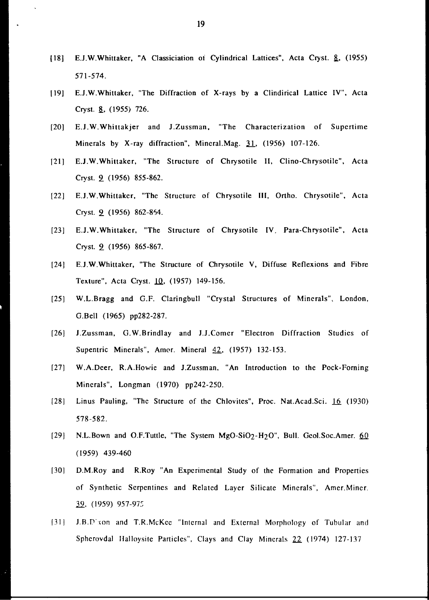- [18] E.J.W.Whittaker, "A Classiciation of Cylindrical Lattices", Acta Cryst. &, (1955) 571-574.
- [19] E.J.W.Whittaker, "The Diffraction of X-rays by a Clindirical Lattice IV", Acta Cryst. &, (1955) 726.
- [20] E.J.W.Whittakjer and J.Zussman, "The Characterization of Supertime Minerals by X-ray diffraction", Mineral.Mag. 31, (1956) 107-126.
- [21] E.J.W.Whittaker, "The Structure of Chrysotile II, Clino-Chrysotile", Acta Cryst. 9\_ (1956) 855-862.
- [22] E.J.W.Whittakcr, "The Structure of Chrysotile III, Ortho. Chrysotile", Acta Cryst. **2** (1956) 862-864.
- [23] E.J.W.Whittaker, "The Structure of Chrysotile IV, Para-Chrysotile", Acta Cryst. 2 (1956) 865-867.
- [24] E.J.W.Whittaker, "The Structure of Chrysotile V, Diffuse Reflexions and Fibre Texture", Acta Cryst. 10, (1957) 149-156.
- [25] W.L.Bragg and G.F. Claringbull "Crystal Structures of Minerals", London, G.Bell (1965) pp282-287.
- [26] J.Zussman, G.W.Brindlay and J.J.Comer "Electron Diffraction Studies of Supentric Minerals", Amor. Mineral 42, (1957) 132-153.
- [27] W.A.Deer, R.A.Howie and J.Zussman, "An Introduction to the Pock-Forning Minerals", Longman (1970) pp242-250.
- [28] Linus Pauling, "The Structure of the Chlovites", Proc. Nat.Acad.Sci. 16 (1930) 578-582.
- [29] N.L.Bown and O.F.Tuttle, "The System MgO-SiO<sub>2</sub>-H<sub>2</sub>O", Bull. Geol.Soc.Amer. 60 (1959) 439-460
- [30] D.M.Roy and R.Roy "An Experimental Study of the Formation and Properties of Synthetic Serpentines and Related Layer Silicate Minerals", Amcr.Mincr. *22,* (1959) 957-975
- [31] .I.B.P con and T.R.McKec "Internal and External Morphology of Tubular and Sphcrovdal Halloysitc Particles", Clays and Clay Minerals 22 (1974) 127-137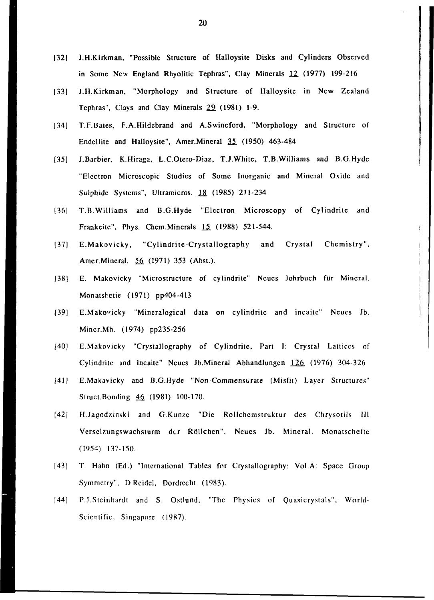- [32] J.H.Kirkman, "Possible Structure of Halloysite Disks and Cylinders Observed in Some New England Rhyolitic Tephras", Clay Minerals 12. (1977) 199-216
- [33] J.H.Kirkman, "Morphology and Structure of Halloysite in New Zealand Tephras", Clays and Clay Minerals 29 (1981) 1-9.
- [34] T.F.Bates, F.A.Hildcbrand and A.Swineford, "Morphology and Structure of Endellite and Halloysite", Amer.Mineral 35 (1950) 463-484
- [35] J.Barbier, K.Hiraga, L.C.Otero-Diaz, T.J.White, T.B.Williams and B.G.Hydc "Electron Microscopic Studies of Some Inorganic and Mineral Oxide and Sulphide Systems", Ultramicros. *13.* (1985) 211-234
- [361 T.B.Williams and B.G.Hyde "Electron Microscopy of Cylindrite and Frankeite", Phys. Chem.Minerals  $15$  (1988) 521-544.
- [37] E.Makovicky, "Cylindrite-Crystallography and Crystal Chemistry", Amer.Mineral. 56 (1971) 353 (Abst.).
- [38] E. Makovicky "Microstructure of cylindrite" Neues Johrbuch für Mineral. Monatshetie (1971) pp404-413
- [39] E.Makovicky "Mineralogical data on cylindrite and incaite" Neues Jb. Mincr.Mh. (1974) pp235-256
- [40] E.Makovicky "Crystallography of Cylindrite, Part I: Crystal Lattices of Cylindritc and Incaite" Ncues Jb.Mineral Abhandlungcn 126 (1976) 304-326
- [41] E.Makavicky and B.G.Hyde "Non-Commensurate (Misfit) Layer Structures" Struct.Bonding 46 (1981) 100-170.
- [42] H.Jagodzinski and G.Kunze "Die Rollchemstruktur des Chrysotils III Verselzungswachsturm der Röllchen". Neues Jb. Mineral. Monatschefte (1954) 137-150.
- [43] T. Hahn (Ed.) "International Tables for Crystallography: Vol.A: Space Group Symmetry", D.Rcidcl, Dordrecht (1983).
- [44] P.J.Steinhardt and S. Ostlund, "The Physics of Quasicrystals", World-Scientific, Singapore (1987).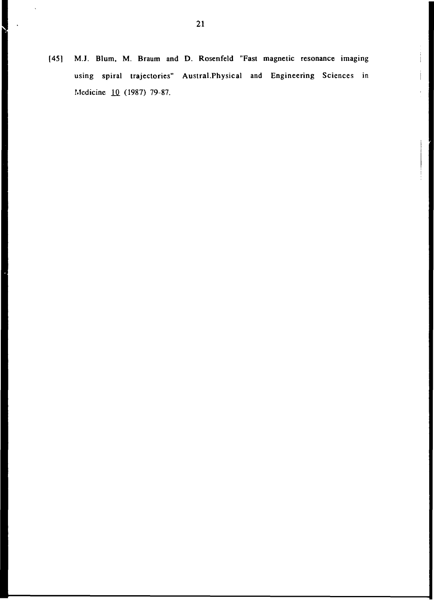[45] M.J. Blum, M. Braum and D. Rosenfeld "Fast magnetic resonance imaging using spiral trajectories" Austral.Physical and Engineering Sciences in Medicine 1Q. (1987) 79-87.

 $\begin{array}{c} \begin{array}{c} \bullet \\ \bullet \end{array} \end{array}$ 

l,

 $\ddot{\phantom{a}}$ 

 $\overline{\phantom{0}}$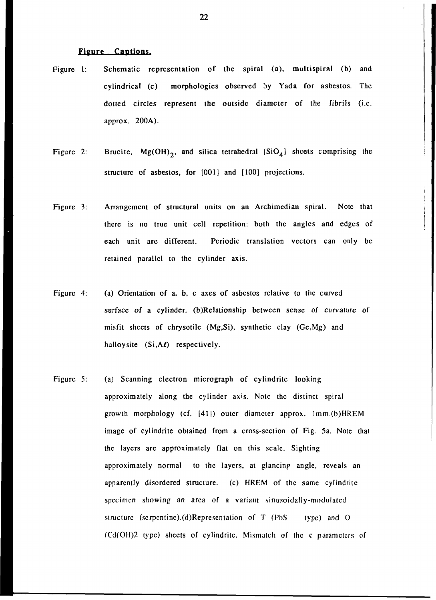### Figure Captions.

- Figure 1: Schematic representation of the spiral (a), multispiral (b) and cylindrical (c) morphologies observed by Yada for asbestos. The dotted circles represent the outside diameter of the fibrils (i.e. approx. 200A).
- Figure 2: Brucite,  $Mg(OH)_{2}$ , and silica tetrahedral  $[SiO_{4}]$  sheets comprising the structure of asbestos, for [001] and [100] projections.
- Figure 3: Arrangement of structural units on an Archimedian spiral. Note that there is no true unit cell repetition: both the angles and edges of each unit are different. Periodic translation vectors can only be retained parallel to the cylinder axis.
- Figure 4: (a) Orientation of a, b, c axes of asbestos relative to the curved surface of a cylinder. (b)Relationship between sense of curvature of misfit sheets of chrysotile (Mg.Si), synthetic clay (Ge.Mg) and halloysite  $(Si, A\ell)$  respectively.
- Figure 5: (a) Scanning electron micrograph of cylindrite looking approximately along the cylinder axis. Note the distinct spiral growth morphology (cf. [41]) outer diameter approx. lmm.(b)HREM image of cylindrite obtained from a cross-section of Fig. 5a. Note that the layers are approximately flat on this scale. Sighting approximately normal to the layers, at glancing angle, reveals an apparently disordered structure. (c) HREM of the same cylindrite specimen showing an area of a variant sinusoidally-modulatcd structure (serpentine).(d)Representation of  $T$  (PbS type) and O (Cd(OH)2 type) sheets of cylindritc. Mismatch of the c parameters of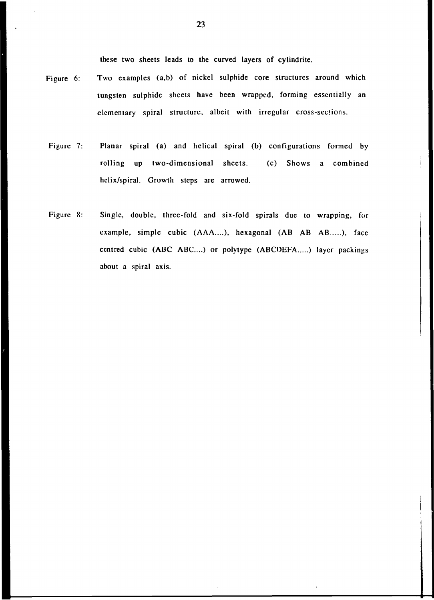these two sheets leads to the curved layers of cylindrite.

- Figure 6: Two examples (a,b) of nickel sulphide core structures around which tungsten sulphide sheets have been wrapped, forming essentially an elementary spiral structure, albeit with irregular cross-sections.
- Figure 7: Planar spiral (a) and helical spiral (b) configurations formed by rolling up two-dimensional sheets. (c) Shows a combined helix/spiral. Growth steps are arrowed.
- Figure 8: Single, double, three-fold and six-fold spirals due to wrapping, for example, simple cubic (AAA....), hexagonal (AB AB AB.....), face centred cubic (ABC ABC....) or polytype (ABCDEFA.....) layer packings about a spiral axis.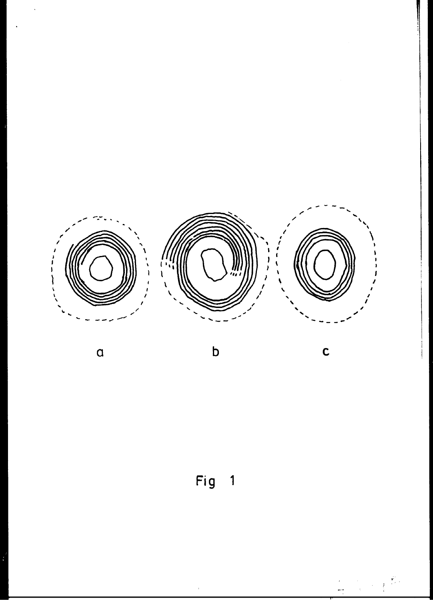

 $\alpha$ 

 $\mathbf b$ 

 $\mathbf c$ 

É, ĵ

Fig 1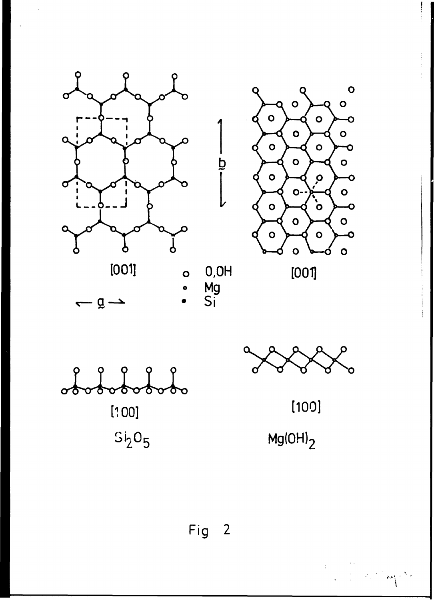



 $\frac{b}{i}$ 

 $[001]$ 



 $-$  g  $\rightarrow$ 

 $\blacktriangledown$ 



 $[100]$ 

an Carl Charles

 $Mg(OH)<sub>2</sub>$ 

Fig 2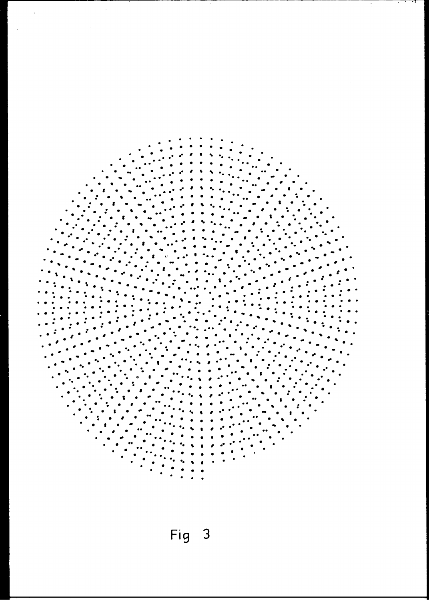

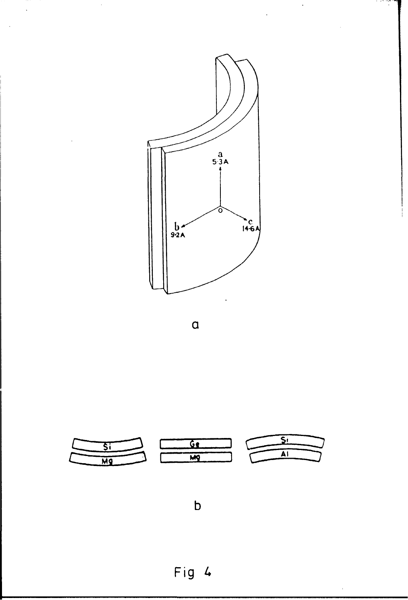

میں<br>م

 $\ddot{\cdot}$ 

 $\mathsf{a}$ 



 $\mathsf{b}$ 

Fig 4

 $\bar{1}$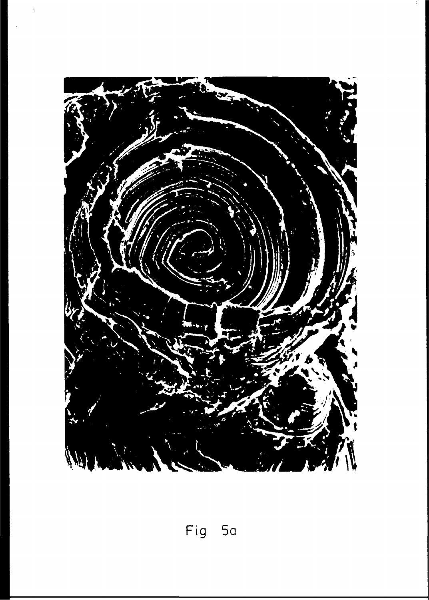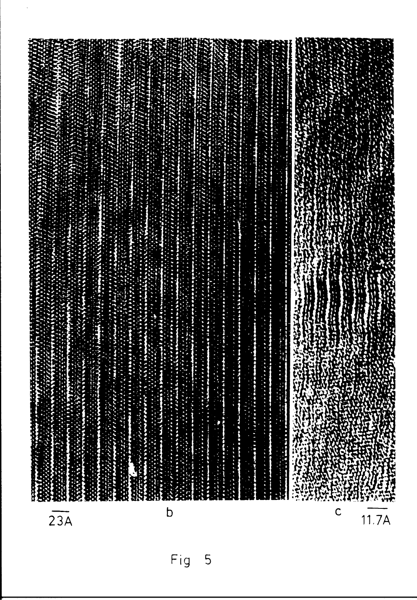| 23A          |                            |
|--------------|----------------------------|
|              |                            |
|              |                            |
|              |                            |
| $\mathbf b$  |                            |
|              |                            |
|              |                            |
|              |                            |
|              |                            |
|              |                            |
|              | х<br>よいけいこう                |
|              | Ŕ,<br>'n<br>2014年1月        |
| $\mathsf{C}$ | 2000<br><b>CEREBOOK</b>    |
|              | 2000 1000 1000<br>1930年11月 |
| 11.7A        | <b>1999年1月18日</b>          |

g۳ ----

 $\hat{\mathcal{S}}$ 

Fig 5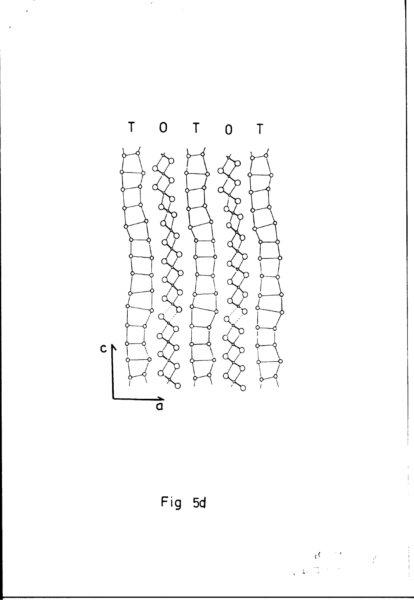

 $\gamma$  ,  $\gamma$ 



 $\begin{array}{c} \hline \end{array}$ 

 $\frac{1}{2}$ 

 $\label{eq:2} \frac{1}{2} \int_{\mathbb{R}^2} \frac{d^2}{dx^2} \, dx$ 

 $\epsilon^{\rm C}$ 

 $\frac{1}{2}$  $\frac{1}{2}$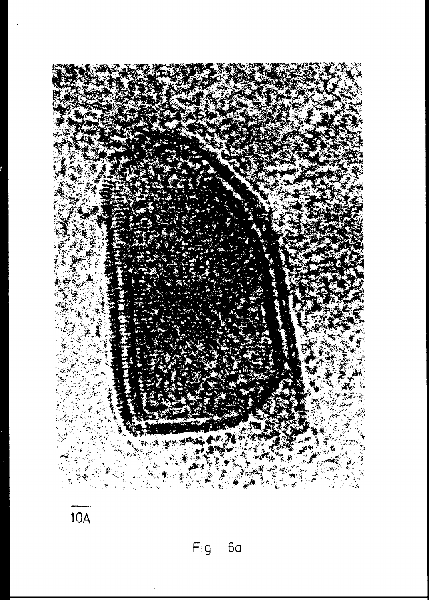

 $\overline{10A}$ 

Fig 6a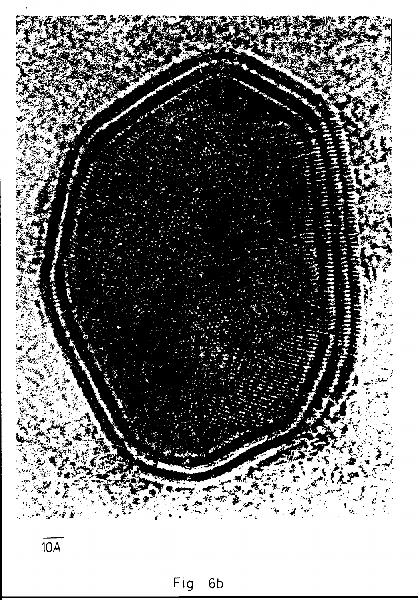

 $\overline{10A}$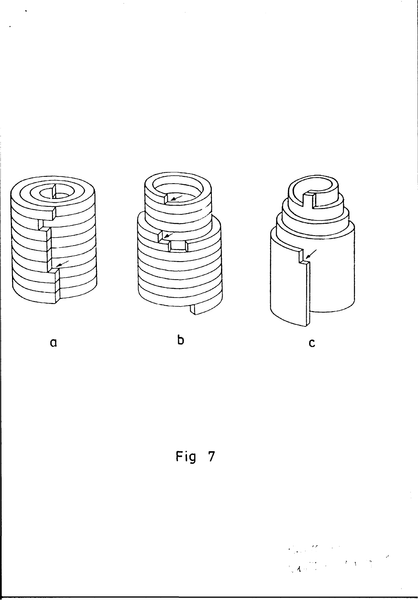

 $\ddot{\phantom{0}}$ 



 $\mathbf b$ 



 $\alpha$